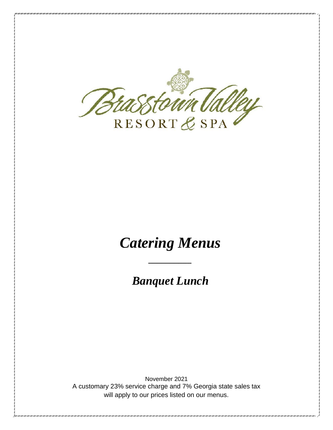

# *Catering Menus*

*Banquet Lunch*

*\_\_\_\_\_\_\_\_\_\_*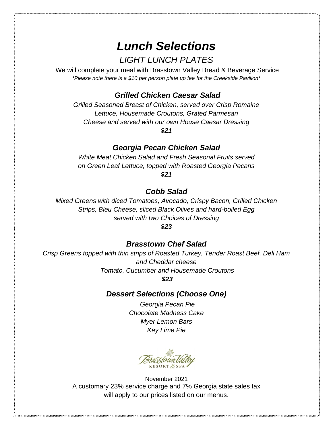## *Lunch Selections LIGHT LUNCH PLATES*

We will complete your meal with Brasstown Valley Bread & Beverage Service *\*Please note there is a \$10 per person plate up fee for the Creekside Pavilion\**

## *Grilled Chicken Caesar Salad*

*Grilled Seasoned Breast of Chicken, served over Crisp Romaine Lettuce, Housemade Croutons, Grated Parmesan Cheese and served with our own House Caesar Dressing*

*\$21*

#### *Georgia Pecan Chicken Salad*

*White Meat Chicken Salad and Fresh Seasonal Fruits served on Green Leaf Lettuce, topped with Roasted Georgia Pecans \$21*

#### *Cobb Salad*

*Mixed Greens with diced Tomatoes, Avocado, Crispy Bacon, Grilled Chicken Strips, Bleu Cheese, sliced Black Olives and hard-boiled Egg served with two Choices of Dressing*

#### *\$23*

#### *Brasstown Chef Salad*

*Crisp Greens topped with thin strips of Roasted Turkey, Tender Roast Beef, Deli Ham and Cheddar cheese Tomato, Cucumber and Housemade Croutons*

*\$23*

## *Dessert Selections (Choose One)*

*Georgia Pecan Pie Chocolate Madness Cake Myer Lemon Bars Key Lime Pie*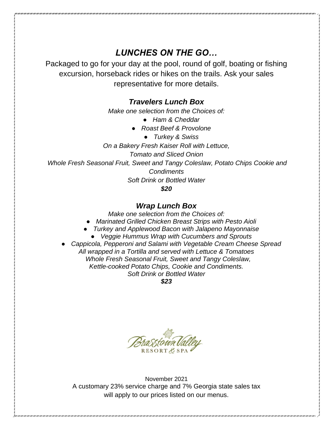## *LUNCHES ON THE GO…*

Packaged to go for your day at the pool, round of golf, boating or fishing excursion, horseback rides or hikes on the trails. Ask your sales representative for more details.

#### *Travelers Lunch Box*

*Make one selection from the Choices of:*

- *Ham & Cheddar*
- *Roast Beef & Provolone* 
	- *Turkey & Swiss*

*On a Bakery Fresh Kaiser Roll with Lettuce,*

*Tomato and Sliced Onion*

*Whole Fresh Seasonal Fruit, Sweet and Tangy Coleslaw, Potato Chips Cookie and Condiments*

*Soft Drink or Bottled Water*

*\$20*

#### *Wrap Lunch Box*

*Make one selection from the Choices of:*

- *Marinated Grilled Chicken Breast Strips with Pesto Aioli*
- *Turkey and Applewood Bacon with Jalapeno Mayonnaise* 
	- *Veggie Hummus Wrap with Cucumbers and Sprouts*
- *Cappicola, Pepperoni and Salami with Vegetable Cream Cheese Spread All wrapped in a Tortilla and served with Lettuce & Tomatoes Whole Fresh Seasonal Fruit, Sweet and Tangy Coleslaw, Kettle-cooked Potato Chips, Cookie and Condiments. Soft Drink or Bottled Water*

*\$23*

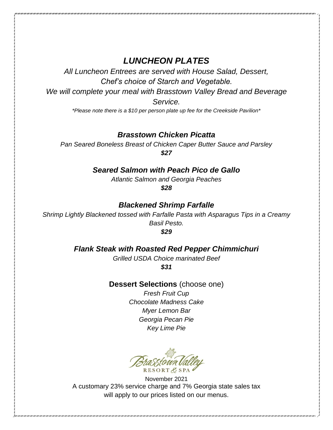## *LUNCHEON PLATES*

*All Luncheon Entrees are served with House Salad, Dessert, Chef's choice of Starch and Vegetable.*

*We will complete your meal with Brasstown Valley Bread and Beverage Service.*

*\*Please note there is a \$10 per person plate up fee for the Creekside Pavilion\**

#### *Brasstown Chicken Picatta*

*Pan Seared Boneless Breast of Chicken Caper Butter Sauce and Parsley \$27*

#### *Seared Salmon with Peach Pico de Gallo*

*Atlantic Salmon and Georgia Peaches*

*\$28*

#### *Blackened Shrimp Farfalle*

*Shrimp Lightly Blackened tossed with Farfalle Pasta with Asparagus Tips in a Creamy Basil Pesto.*

*\$29*

#### *Flank Steak with Roasted Red Pepper Chimmichuri*

*Grilled USDA Choice marinated Beef \$31*

#### **Dessert Selections** (choose one)

*Fresh Fruit Cup Chocolate Madness Cake Myer Lemon Bar Georgia Pecan Pie Key Lime Pie*

RESORT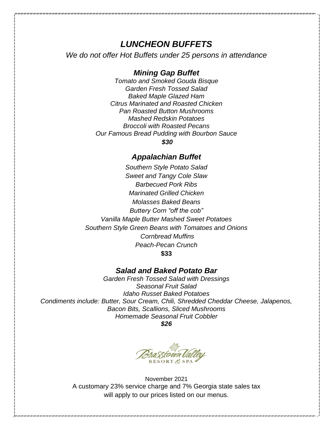## *LUNCHEON BUFFETS*

*We do not offer Hot Buffets under 25 persons in attendance*

#### *Mining Gap Buffet*

*Tomato and Smoked Gouda Bisque Garden Fresh Tossed Salad Baked Maple Glazed Ham Citrus Marinated and Roasted Chicken Pan Roasted Button Mushrooms Mashed Redskin Potatoes Broccoli with Roasted Pecans Our Famous Bread Pudding with Bourbon Sauce*

*\$30*

#### *Appalachian Buffet*

*Southern Style Potato Salad Sweet and Tangy Cole Slaw Barbecued Pork Ribs Marinated Grilled Chicken Molasses Baked Beans Buttery Corn "off the cob" Vanilla Maple Butter Mashed Sweet Potatoes Southern Style Green Beans with Tomatoes and Onions Cornbread Muffins Peach-Pecan Crunch* **\$33**

#### *Salad and Baked Potato Bar*

*Garden Fresh Tossed Salad with Dressings Seasonal Fruit Salad Idaho Russet Baked Potatoes Condiments include: Butter, Sour Cream, Chili, Shredded Cheddar Cheese, Jalapenos, Bacon Bits, Scallions, Sliced Mushrooms Homemade Seasonal Fruit Cobbler*

*\$26*

**RESORT & SPA**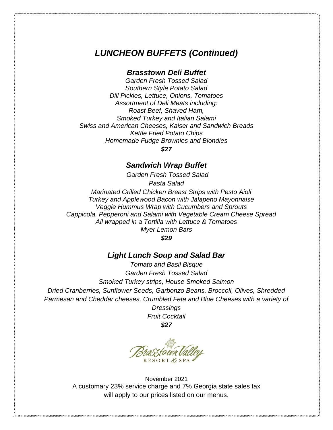## *LUNCHEON BUFFETS (Continued)*

#### *Brasstown Deli Buffet*

*Garden Fresh Tossed Salad Southern Style Potato Salad Dill Pickles, Lettuce, Onions, Tomatoes Assortment of Deli Meats including: Roast Beef, Shaved Ham, Smoked Turkey and Italian Salami Swiss and American Cheeses, Kaiser and Sandwich Breads Kettle Fried Potato Chips Homemade Fudge Brownies and Blondies*

*\$27*

#### *Sandwich Wrap Buffet*

*Garden Fresh Tossed Salad*

*Pasta Salad*

*Marinated Grilled Chicken Breast Strips with Pesto Aioli Turkey and Applewood Bacon with Jalapeno Mayonnaise Veggie Hummus Wrap with Cucumbers and Sprouts Cappicola, Pepperoni and Salami with Vegetable Cream Cheese Spread All wrapped in a Tortilla with Lettuce & Tomatoes Myer Lemon Bars*

*\$29*

#### *Light Lunch Soup and Salad Bar*

*Tomato and Basil Bisque Garden Fresh Tossed Salad Smoked Turkey strips, House Smoked Salmon Dried Cranberries, Sunflower Seeds, Garbonzo Beans, Broccoli, Olives, Shredded Parmesan and Cheddar cheeses, Crumbled Feta and Blue Cheeses with a variety of Dressings*

*Fruit Cocktail \$27*

RESORTE